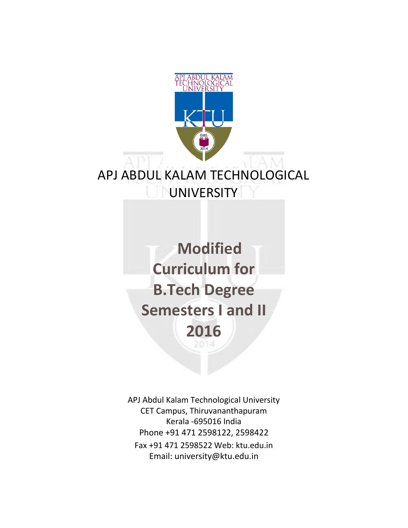

# APJ ABDUL KALAM TECHNOLOGICAL **UNIVERSITY**

**Modified Curriculum for B.Tech Degree Semesters I and II 2016**

APJ Abdul Kalam Technological University CET Campus, Thiruvananthapuram Kerala -695016 India Phone +91 471 2598122, 2598422 Fax +91 471 2598522 Web: ktu.edu.in Email: university@ktu.edu.in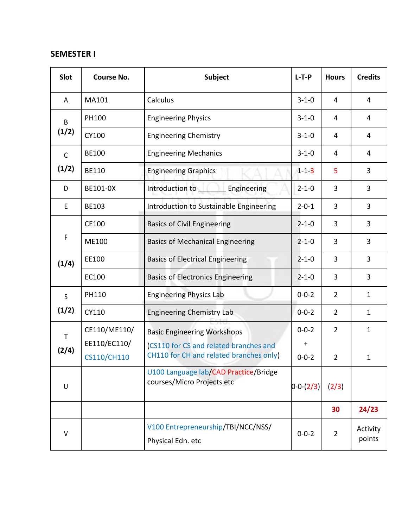# **SEMESTER I**

| <b>Slot</b>           | <b>Course No.</b>  | <b>Subject</b>                                                                    | $L-T-P$         | <b>Hours</b>   | <b>Credits</b>     |
|-----------------------|--------------------|-----------------------------------------------------------------------------------|-----------------|----------------|--------------------|
| Α                     | MA101              | Calculus                                                                          | $3 - 1 - 0$     | 4              | $\overline{4}$     |
| B<br>(1/2)            | PH100              | <b>Engineering Physics</b>                                                        | $3 - 1 - 0$     | 4              | 4                  |
|                       | CY100              | <b>Engineering Chemistry</b>                                                      | $3 - 1 - 0$     | 4              | 4                  |
| $\mathsf{C}$          | <b>BE100</b>       | <b>Engineering Mechanics</b>                                                      | $3 - 1 - 0$     | 4              | 4                  |
| (1/2)                 | <b>BE110</b>       | <b>Engineering Graphics</b>                                                       | $1 - 1 - 3$     | 5              | 3                  |
| D                     | BE101-0X           | Introduction to Engineering                                                       | $2 - 1 - 0$     | 3              | 3                  |
| E                     | BE103              | Introduction to Sustainable Engineering                                           | $2 - 0 - 1$     | 3              | 3                  |
| $\mathsf F$<br>(1/4)  | CE100              | <b>Basics of Civil Engineering</b>                                                | $2 - 1 - 0$     | 3              | 3                  |
|                       | ME100              | <b>Basics of Mechanical Engineering</b>                                           | $2 - 1 - 0$     | 3              | 3                  |
|                       | EE100              | <b>Basics of Electrical Engineering</b>                                           | $2 - 1 - 0$     | 3              | 3                  |
|                       | EC100              | <b>Basics of Electronics Engineering</b>                                          | $2 - 1 - 0$     | 3              | 3                  |
| S<br>(1/2)            | PH110              | <b>Engineering Physics Lab</b>                                                    | $0 - 0 - 2$     | $\overline{2}$ | $\mathbf{1}$       |
|                       | CY110              | <b>Engineering Chemistry Lab</b>                                                  | $0 - 0 - 2$     | $\overline{2}$ | $\mathbf{1}$       |
| $\mathsf{T}$<br>(2/4) | CE110/ME110/       | <b>Basic Engineering Workshops</b>                                                | $0 - 0 - 2$     | $\overline{2}$ | $\mathbf{1}$       |
|                       | EE110/EC110/       | (CS110 for CS and related branches and<br>CH110 for CH and related branches only) | $\ddot{}$       |                |                    |
|                       | <b>CS110/CH110</b> | U100 Language lab/CAD Practice/Bridge                                             | $0 - 0 - 2$     | $\overline{2}$ | 1                  |
| U                     |                    | courses/Micro Projects etc                                                        | $0 - 0 - (2/3)$ | (2/3)          |                    |
|                       |                    |                                                                                   |                 | 30             | 24/23              |
| $\vee$                |                    | V100 Entrepreneurship/TBI/NCC/NSS/<br>Physical Edn. etc                           | $0 - 0 - 2$     | $\overline{2}$ | Activity<br>points |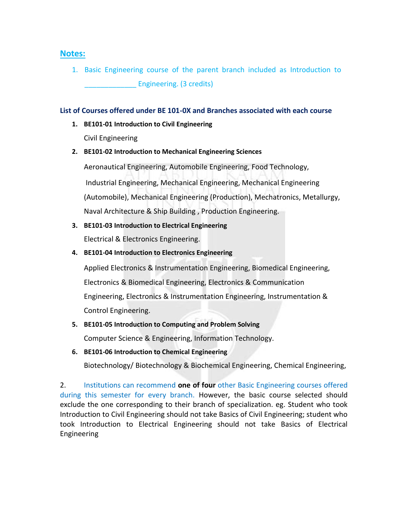## **Notes:**

1. Basic Engineering course of the parent branch included as Introduction to Engineering. (3 credits)

#### **List of Courses offered under BE 101-0X and Branches associated with each course**

**1. BE101-01 Introduction to Civil Engineering**  Civil Engineering

### **2. BE101-02 Introduction to Mechanical Engineering Sciences**

Aeronautical Engineering, Automobile Engineering, Food Technology, Industrial Engineering, Mechanical Engineering, Mechanical Engineering (Automobile), Mechanical Engineering (Production), Mechatronics, Metallurgy, Naval Architecture & Ship Building , Production Engineering.

- **3. BE101-03 Introduction to Electrical Engineering**  Electrical & Electronics Engineering.
- **4. BE101-04 Introduction to Electronics Engineering**

Applied Electronics & Instrumentation Engineering, Biomedical Engineering, Electronics & Biomedical Engineering, Electronics & Communication Engineering, Electronics & Instrumentation Engineering, Instrumentation & Control Engineering.

**5. BE101-05 Introduction to Computing and Problem Solving** 

Computer Science & Engineering, Information Technology.

**6. BE101-06 Introduction to Chemical Engineering** 

Biotechnology/ Biotechnology & Biochemical Engineering, Chemical Engineering,

2. Institutions can recommend **one of four** other Basic Engineering courses offered during this semester for every branch. However, the basic course selected should exclude the one corresponding to their branch of specialization. eg. Student who took Introduction to Civil Engineering should not take Basics of Civil Engineering; student who took Introduction to Electrical Engineering should not take Basics of Electrical Engineering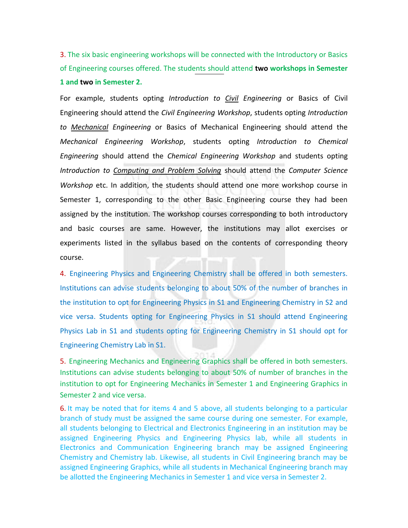3. The six basic engineering workshops will be connected with the Introductory or Basics of Engineering courses offered. The students should attend **two workshops in Semester 1 and two in Semester 2.** 

For example, students opting *Introduction to Civil Engineering* or Basics of Civil Engineering should attend the *Civil Engineering Workshop*, students opting *Introduction to Mechanical Engineering* or Basics of Mechanical Engineering should attend the *Mechanical Engineering Workshop*, students opting *Introduction to Chemical Engineering* should attend the *Chemical Engineering Workshop* and students opting *Introduction to Computing and Problem Solving* should attend the *Computer Science Workshop* etc. In addition, the students should attend one more workshop course in Semester 1, corresponding to the other Basic Engineering course they had been assigned by the institution. The workshop courses corresponding to both introductory and basic courses are same. However, the institutions may allot exercises or experiments listed in the syllabus based on the contents of corresponding theory course.

4. Engineering Physics and Engineering Chemistry shall be offered in both semesters. Institutions can advise students belonging to about 50% of the number of branches in the institution to opt for Engineering Physics in S1 and Engineering Chemistry in S2 and vice versa. Students opting for Engineering Physics in S1 should attend Engineering Physics Lab in S1 and students opting for Engineering Chemistry in S1 should opt for Engineering Chemistry Lab in S1.

5. Engineering Mechanics and Engineering Graphics shall be offered in both semesters. Institutions can advise students belonging to about 50% of number of branches in the institution to opt for Engineering Mechanics in Semester 1 and Engineering Graphics in Semester 2 and vice versa.

6. It may be noted that for items 4 and 5 above, all students belonging to a particular branch of study must be assigned the same course during one semester. For example, all students belonging to Electrical and Electronics Engineering in an institution may be assigned Engineering Physics and Engineering Physics lab, while all students in Electronics and Communication Engineering branch may be assigned Engineering Chemistry and Chemistry lab. Likewise, all students in Civil Engineering branch may be assigned Engineering Graphics, while all students in Mechanical Engineering branch may be allotted the Engineering Mechanics in Semester 1 and vice versa in Semester 2.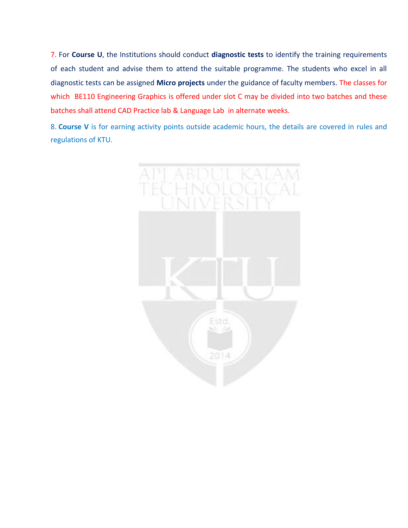7. For **Course U**, the Institutions should conduct **diagnostic tests** to identify the training requirements of each student and advise them to attend the suitable programme. The students who excel in all diagnostic tests can be assigned **Micro projects** under the guidance of faculty members. The classes for which BE110 Engineering Graphics is offered under slot C may be divided into two batches and these batches shall attend CAD Practice lab & Language Lab in alternate weeks.

8. **Course V** is for earning activity points outside academic hours, the details are covered in rules and regulations of KTU.

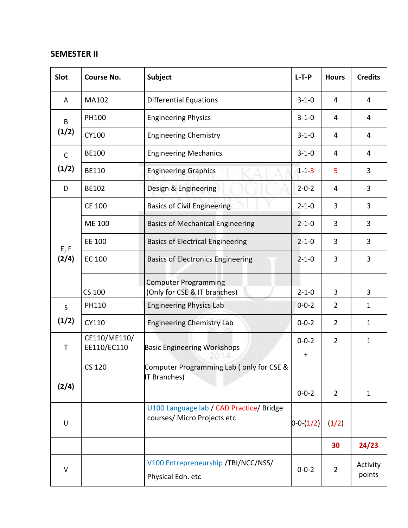## **SEMESTER II**

| Slot          | <b>Course No.</b>           | Subject                                                                 | $L-T-P$                | <b>Hours</b>   | <b>Credits</b>     |
|---------------|-----------------------------|-------------------------------------------------------------------------|------------------------|----------------|--------------------|
| A             | MA102                       | <b>Differential Equations</b>                                           | $3 - 1 - 0$            | 4              | 4                  |
| B<br>(1/2)    | PH100                       | <b>Engineering Physics</b>                                              | $3 - 1 - 0$            | 4              | 4                  |
|               | CY100                       | <b>Engineering Chemistry</b>                                            | $3 - 1 - 0$            | 4              | $\overline{4}$     |
| $\mathsf{C}$  | <b>BE100</b>                | <b>Engineering Mechanics</b>                                            | $3 - 1 - 0$            | 4              | 4                  |
| (1/2)         | <b>BE110</b>                | <b>Engineering Graphics</b>                                             | $1 - 1 - 3$            | 5              | 3                  |
| D             | BE102                       | Design & Engineering                                                    | $2 - 0 - 2$            | 4              | 3                  |
| E, F<br>(2/4) | <b>CE 100</b>               | <b>Basics of Civil Engineering</b>                                      | $2 - 1 - 0$            | 3              | 3                  |
|               | ME 100                      | <b>Basics of Mechanical Engineering</b>                                 | $2 - 1 - 0$            | 3              | 3                  |
|               | EE 100                      | <b>Basics of Electrical Engineering</b>                                 | $2 - 1 - 0$            | 3              | 3                  |
|               | <b>EC 100</b>               | <b>Basics of Electronics Engineering</b>                                | $2 - 1 - 0$            | 3              | 3                  |
|               | CS 100                      | <b>Computer Programming</b><br>(Only for CSE & IT branches)             | $2 - 1 - 0$            | 3              | 3                  |
| $\mathsf{S}$  | PH110                       | <b>Engineering Physics Lab</b>                                          | $0 - 0 - 2$            | $\overline{2}$ | $\mathbf{1}$       |
| (1/2)         | CY110                       | <b>Engineering Chemistry Lab</b>                                        | $0 - 0 - 2$            | $\overline{2}$ | $\mathbf{1}$       |
| $\mathsf T$   | CE110/ME110/<br>EE110/EC110 | <b>Basic Engineering Workshops</b>                                      | $0 - 0 - 2$<br>$\ddag$ | $\overline{2}$ | $\mathbf{1}$       |
|               | <b>CS 120</b>               | Computer Programming Lab (only for CSE &<br>IT Branches)                |                        |                |                    |
| (2/4)         |                             |                                                                         | $0 - 0 - 2$            | $\overline{2}$ | $\mathbf{1}$       |
| $\sf U$       |                             | U100 Language lab / CAD Practice/ Bridge<br>courses/ Micro Projects etc | $0 - 0 (1/2)$          | (1/2)          |                    |
|               |                             |                                                                         |                        | 30             | 24/23              |
| $\vee$        |                             | V100 Entrepreneurship /TBI/NCC/NSS/<br>Physical Edn. etc                | $0 - 0 - 2$            | $\overline{2}$ | Activity<br>points |